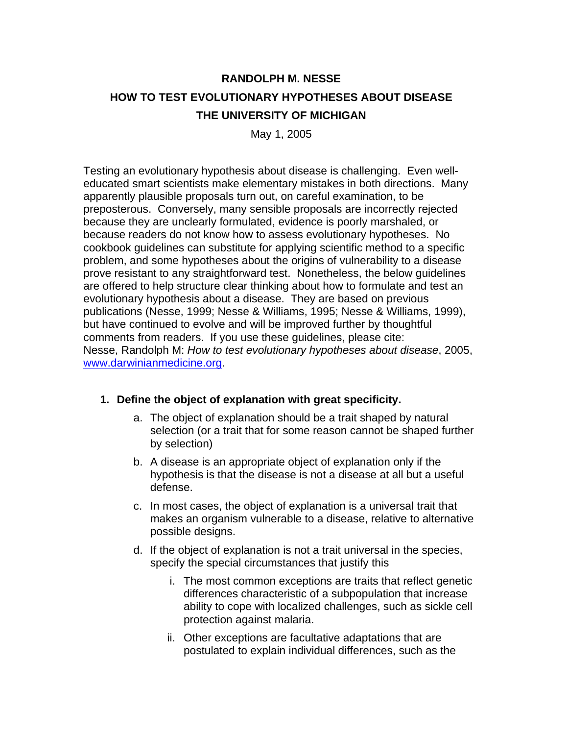# **RANDOLPH M. NESSE HOW TO TEST EVOLUTIONARY HYPOTHESES ABOUT DISEASE THE UNIVERSITY OF MICHIGAN**

May 1, 2005

Testing an evolutionary hypothesis about disease is challenging. Even welleducated smart scientists make elementary mistakes in both directions. Many apparently plausible proposals turn out, on careful examination, to be preposterous. Conversely, many sensible proposals are incorrectly rejected because they are unclearly formulated, evidence is poorly marshaled, or because readers do not know how to assess evolutionary hypotheses. No cookbook guidelines can substitute for applying scientific method to a specific problem, and some hypotheses about the origins of vulnerability to a disease prove resistant to any straightforward test. Nonetheless, the below guidelines are offered to help structure clear thinking about how to formulate and test an evolutionary hypothesis about a disease. They are based on previous publications (Nesse, 1999; Nesse & Williams, 1995; Nesse & Williams, 1999), but have continued to evolve and will be improved further by thoughtful comments from readers. If you use these guidelines, please cite: Nesse, Randolph M: *How to test evolutionary hypotheses about disease*, 2005, [www.darwinianmedicine.org](http://www.darwinianmedicine.org/).

#### **1. Define the object of explanation with great specificity.**

- a. The object of explanation should be a trait shaped by natural selection (or a trait that for some reason cannot be shaped further by selection)
- b. A disease is an appropriate object of explanation only if the hypothesis is that the disease is not a disease at all but a useful defense.
- c. In most cases, the object of explanation is a universal trait that makes an organism vulnerable to a disease, relative to alternative possible designs.
- d. If the object of explanation is not a trait universal in the species, specify the special circumstances that justify this
	- i. The most common exceptions are traits that reflect genetic differences characteristic of a subpopulation that increase ability to cope with localized challenges, such as sickle cell protection against malaria.
	- ii. Other exceptions are facultative adaptations that are postulated to explain individual differences, such as the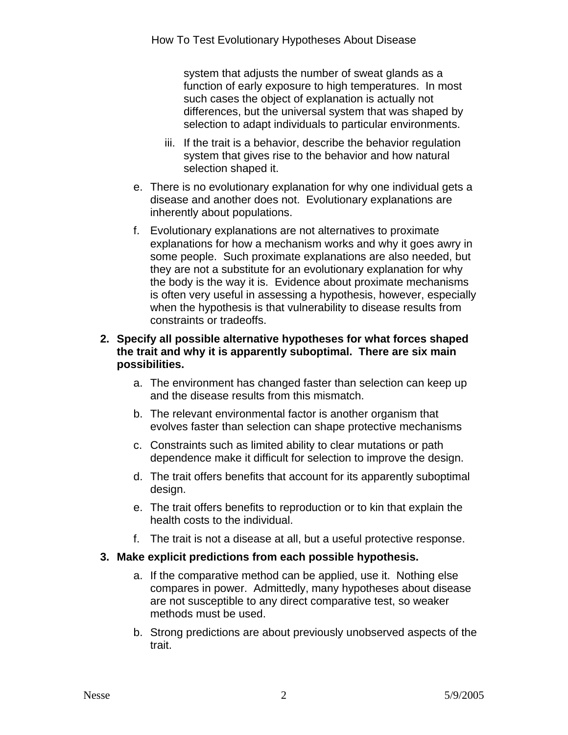system that adjusts the number of sweat glands as a function of early exposure to high temperatures. In most such cases the object of explanation is actually not differences, but the universal system that was shaped by selection to adapt individuals to particular environments.

- iii. If the trait is a behavior, describe the behavior regulation system that gives rise to the behavior and how natural selection shaped it.
- e. There is no evolutionary explanation for why one individual gets a disease and another does not. Evolutionary explanations are inherently about populations.
- f. Evolutionary explanations are not alternatives to proximate explanations for how a mechanism works and why it goes awry in some people. Such proximate explanations are also needed, but they are not a substitute for an evolutionary explanation for why the body is the way it is. Evidence about proximate mechanisms is often very useful in assessing a hypothesis, however, especially when the hypothesis is that vulnerability to disease results from constraints or tradeoffs.

### **2. Specify all possible alternative hypotheses for what forces shaped the trait and why it is apparently suboptimal. There are six main possibilities.**

- a. The environment has changed faster than selection can keep up and the disease results from this mismatch.
- b. The relevant environmental factor is another organism that evolves faster than selection can shape protective mechanisms
- c. Constraints such as limited ability to clear mutations or path dependence make it difficult for selection to improve the design.
- d. The trait offers benefits that account for its apparently suboptimal design.
- e. The trait offers benefits to reproduction or to kin that explain the health costs to the individual.
- f. The trait is not a disease at all, but a useful protective response.

# **3. Make explicit predictions from each possible hypothesis.**

- a. If the comparative method can be applied, use it. Nothing else compares in power. Admittedly, many hypotheses about disease are not susceptible to any direct comparative test, so weaker methods must be used.
- b. Strong predictions are about previously unobserved aspects of the trait.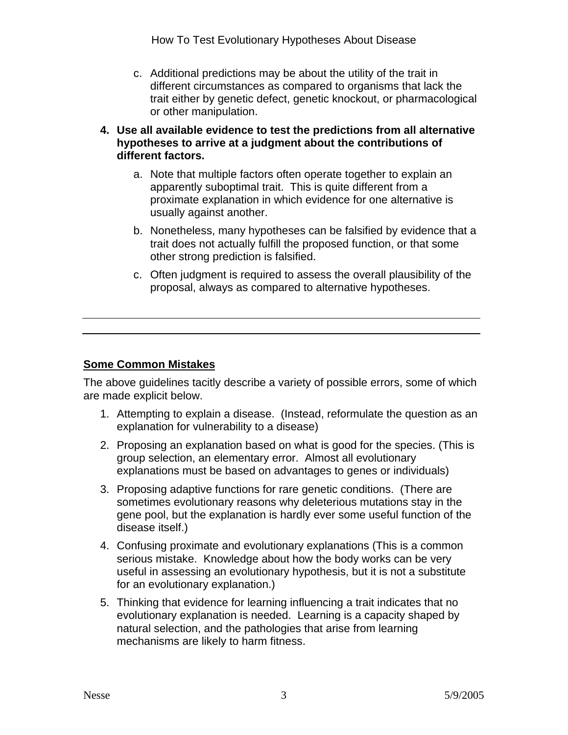How To Test Evolutionary Hypotheses About Disease

- c. Additional predictions may be about the utility of the trait in different circumstances as compared to organisms that lack the trait either by genetic defect, genetic knockout, or pharmacological or other manipulation.
- **4. Use all available evidence to test the predictions from all alternative hypotheses to arrive at a judgment about the contributions of different factors.** 
	- a. Note that multiple factors often operate together to explain an apparently suboptimal trait. This is quite different from a proximate explanation in which evidence for one alternative is usually against another.
	- b. Nonetheless, many hypotheses can be falsified by evidence that a trait does not actually fulfill the proposed function, or that some other strong prediction is falsified.
	- c. Often judgment is required to assess the overall plausibility of the proposal, always as compared to alternative hypotheses.

# **Some Common Mistakes**

The above guidelines tacitly describe a variety of possible errors, some of which are made explicit below.

- 1. Attempting to explain a disease. (Instead, reformulate the question as an explanation for vulnerability to a disease)
- 2. Proposing an explanation based on what is good for the species. (This is group selection, an elementary error. Almost all evolutionary explanations must be based on advantages to genes or individuals)
- 3. Proposing adaptive functions for rare genetic conditions. (There are sometimes evolutionary reasons why deleterious mutations stay in the gene pool, but the explanation is hardly ever some useful function of the disease itself.)
- 4. Confusing proximate and evolutionary explanations (This is a common serious mistake. Knowledge about how the body works can be very useful in assessing an evolutionary hypothesis, but it is not a substitute for an evolutionary explanation.)
- 5. Thinking that evidence for learning influencing a trait indicates that no evolutionary explanation is needed. Learning is a capacity shaped by natural selection, and the pathologies that arise from learning mechanisms are likely to harm fitness.